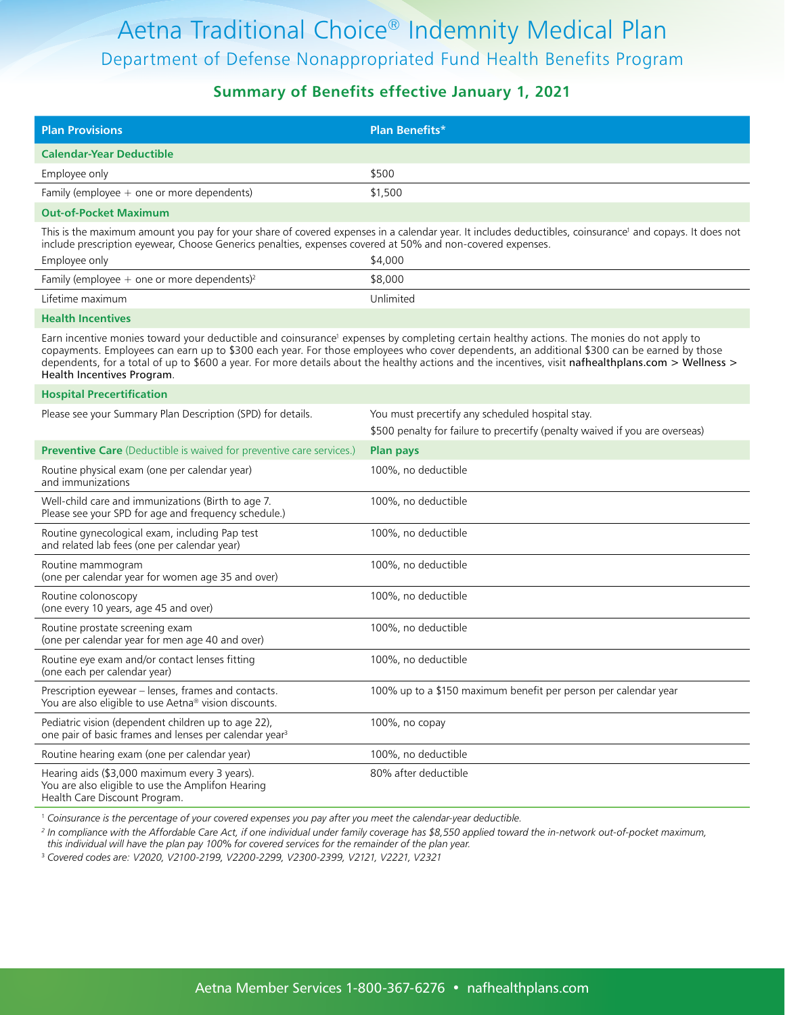#### **Summary of Benefits effective January 1, 2021**

| <b>Plan Provisions</b>                                                                                                                                                                                                                                                                                                                                                                                                                                                      | <b>Plan Benefits*</b>                                                                                                                                                                                                                                                            |  |  |  |
|-----------------------------------------------------------------------------------------------------------------------------------------------------------------------------------------------------------------------------------------------------------------------------------------------------------------------------------------------------------------------------------------------------------------------------------------------------------------------------|----------------------------------------------------------------------------------------------------------------------------------------------------------------------------------------------------------------------------------------------------------------------------------|--|--|--|
| <b>Calendar-Year Deductible</b>                                                                                                                                                                                                                                                                                                                                                                                                                                             |                                                                                                                                                                                                                                                                                  |  |  |  |
| Employee only                                                                                                                                                                                                                                                                                                                                                                                                                                                               | \$500                                                                                                                                                                                                                                                                            |  |  |  |
| Family (employee $+$ one or more dependents)                                                                                                                                                                                                                                                                                                                                                                                                                                | \$1,500                                                                                                                                                                                                                                                                          |  |  |  |
| <b>Out-of-Pocket Maximum</b>                                                                                                                                                                                                                                                                                                                                                                                                                                                |                                                                                                                                                                                                                                                                                  |  |  |  |
| Employee only                                                                                                                                                                                                                                                                                                                                                                                                                                                               | This is the maximum amount you pay for your share of covered expenses in a calendar year. It includes deductibles, coinsurance' and copays. It does not<br>include prescription eyewear, Choose Generics penalties, expenses covered at 50% and non-covered expenses.<br>\$4,000 |  |  |  |
| Family (employee $+$ one or more dependents) <sup>2</sup>                                                                                                                                                                                                                                                                                                                                                                                                                   | \$8,000                                                                                                                                                                                                                                                                          |  |  |  |
| Lifetime maximum                                                                                                                                                                                                                                                                                                                                                                                                                                                            | Unlimited                                                                                                                                                                                                                                                                        |  |  |  |
| <b>Health Incentives</b>                                                                                                                                                                                                                                                                                                                                                                                                                                                    |                                                                                                                                                                                                                                                                                  |  |  |  |
| Earn incentive monies toward your deductible and coinsurance' expenses by completing certain healthy actions. The monies do not apply to<br>copayments. Employees can earn up to \$300 each year. For those employees who cover dependents, an additional \$300 can be earned by those<br>dependents, for a total of up to \$600 a year. For more details about the healthy actions and the incentives, visit nafhealthplans.com > Wellness ><br>Health Incentives Program. |                                                                                                                                                                                                                                                                                  |  |  |  |
| <b>Hospital Precertification</b>                                                                                                                                                                                                                                                                                                                                                                                                                                            |                                                                                                                                                                                                                                                                                  |  |  |  |
| Please see your Summary Plan Description (SPD) for details.                                                                                                                                                                                                                                                                                                                                                                                                                 | You must precertify any scheduled hospital stay.<br>\$500 penalty for failure to precertify (penalty waived if you are overseas)                                                                                                                                                 |  |  |  |
| Preventive Care (Deductible is waived for preventive care services.)                                                                                                                                                                                                                                                                                                                                                                                                        | <b>Plan pays</b>                                                                                                                                                                                                                                                                 |  |  |  |
| Routine physical exam (one per calendar year)<br>and immunizations                                                                                                                                                                                                                                                                                                                                                                                                          | 100%, no deductible                                                                                                                                                                                                                                                              |  |  |  |
| Well-child care and immunizations (Birth to age 7.<br>Please see your SPD for age and frequency schedule.)                                                                                                                                                                                                                                                                                                                                                                  | 100%, no deductible                                                                                                                                                                                                                                                              |  |  |  |
| Routine gynecological exam, including Pap test<br>and related lab fees (one per calendar year)                                                                                                                                                                                                                                                                                                                                                                              | 100%, no deductible                                                                                                                                                                                                                                                              |  |  |  |
| Routine mammogram<br>(one per calendar year for women age 35 and over)                                                                                                                                                                                                                                                                                                                                                                                                      | 100%, no deductible                                                                                                                                                                                                                                                              |  |  |  |
| Routine colonoscopy<br>(one every 10 years, age 45 and over)                                                                                                                                                                                                                                                                                                                                                                                                                | 100%, no deductible                                                                                                                                                                                                                                                              |  |  |  |
| Routine prostate screening exam<br>(one per calendar year for men age 40 and over)                                                                                                                                                                                                                                                                                                                                                                                          | 100%, no deductible                                                                                                                                                                                                                                                              |  |  |  |
| Routine eye exam and/or contact lenses fitting<br>(one each per calendar year)                                                                                                                                                                                                                                                                                                                                                                                              | 100%, no deductible                                                                                                                                                                                                                                                              |  |  |  |
| Prescription eyewear - lenses, frames and contacts.<br>You are also eligible to use Aetna <sup>®</sup> vision discounts.                                                                                                                                                                                                                                                                                                                                                    | 100% up to a \$150 maximum benefit per person per calendar year                                                                                                                                                                                                                  |  |  |  |
| Pediatric vision (dependent children up to age 22),<br>one pair of basic frames and lenses per calendar year <sup>3</sup>                                                                                                                                                                                                                                                                                                                                                   | 100%, no copay                                                                                                                                                                                                                                                                   |  |  |  |
| Routine hearing exam (one per calendar year)                                                                                                                                                                                                                                                                                                                                                                                                                                | 100%, no deductible                                                                                                                                                                                                                                                              |  |  |  |
| Hearing aids (\$3,000 maximum every 3 years).<br>You are also eligible to use the Amplifon Hearing<br>Health Care Discount Program.                                                                                                                                                                                                                                                                                                                                         | 80% after deductible                                                                                                                                                                                                                                                             |  |  |  |

1  *Coinsurance is the percentage of your covered expenses you pay after you meet the calendar-year deductible.*

*2 In compliance with the Affordable Care Act, if one individual under family coverage has \$8,550 applied toward the in-network out-of-pocket maximum, this individual will have the plan pay 100% for covered services for the remainder of the plan year.*

3  *Covered codes are: V2020, V2100-2199, V2200-2299, V2300-2399, V2121, V2221, V2321*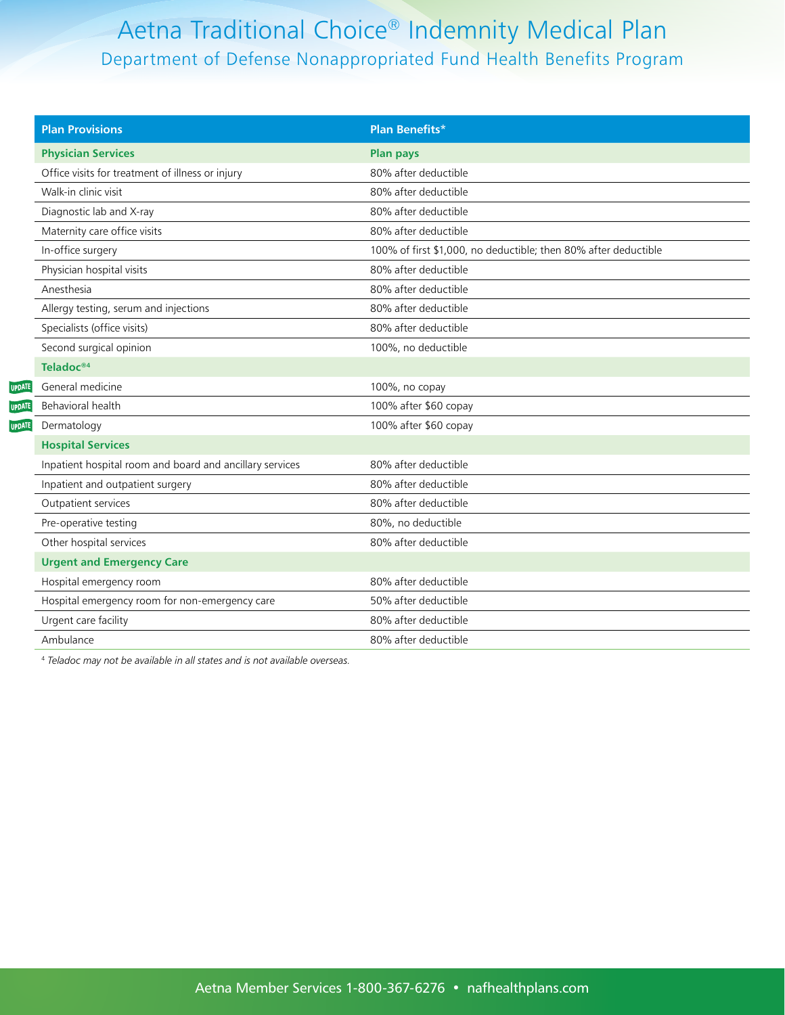| <b>Plan Provisions</b>                                   | <b>Plan Benefits*</b>                                           |  |
|----------------------------------------------------------|-----------------------------------------------------------------|--|
| <b>Physician Services</b>                                | <b>Plan pays</b>                                                |  |
| Office visits for treatment of illness or injury         | 80% after deductible                                            |  |
| Walk-in clinic visit                                     | 80% after deductible                                            |  |
| Diagnostic lab and X-ray                                 | 80% after deductible                                            |  |
| Maternity care office visits                             | 80% after deductible                                            |  |
| In-office surgery                                        | 100% of first \$1,000, no deductible; then 80% after deductible |  |
| Physician hospital visits                                | 80% after deductible                                            |  |
| Anesthesia                                               | 80% after deductible                                            |  |
| Allergy testing, serum and injections                    | 80% after deductible                                            |  |
| Specialists (office visits)                              | 80% after deductible                                            |  |
| Second surgical opinion                                  | 100%, no deductible                                             |  |
| Teladoc <sup>®4</sup>                                    |                                                                 |  |
| General medicine                                         | 100%, no copay                                                  |  |
| Behavioral health                                        | 100% after \$60 copay                                           |  |
| Dermatology                                              | 100% after \$60 copay                                           |  |
| <b>Hospital Services</b>                                 |                                                                 |  |
| Inpatient hospital room and board and ancillary services | 80% after deductible                                            |  |
| Inpatient and outpatient surgery                         | 80% after deductible                                            |  |
| Outpatient services                                      | 80% after deductible                                            |  |
| Pre-operative testing                                    | 80%, no deductible                                              |  |
| Other hospital services                                  | 80% after deductible                                            |  |
| <b>Urgent and Emergency Care</b>                         |                                                                 |  |
| Hospital emergency room                                  | 80% after deductible                                            |  |
| Hospital emergency room for non-emergency care           | 50% after deductible                                            |  |
| Urgent care facility                                     | 80% after deductible                                            |  |
| Ambulance                                                | 80% after deductible                                            |  |

4  *Teladoc may not be available in all states and is not available overseas.*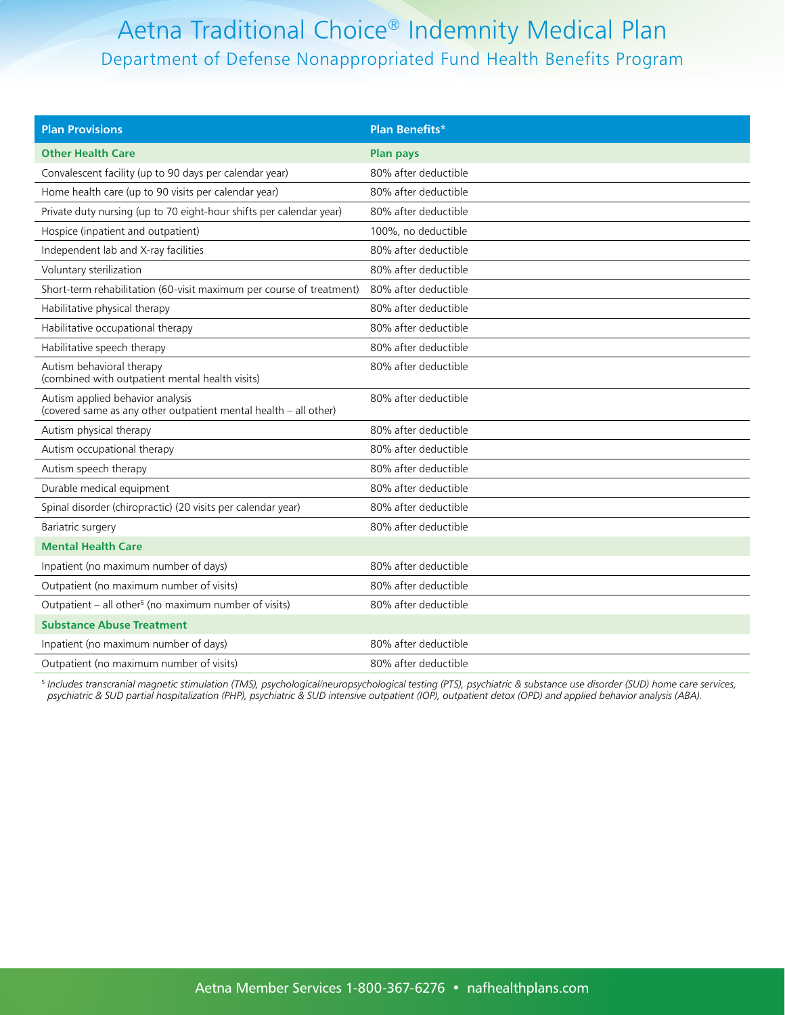| <b>Plan Provisions</b>                                                                               | <b>Plan Benefits*</b> |
|------------------------------------------------------------------------------------------------------|-----------------------|
| <b>Other Health Care</b>                                                                             | <b>Plan pays</b>      |
| Convalescent facility (up to 90 days per calendar year)                                              | 80% after deductible  |
| Home health care (up to 90 visits per calendar year)                                                 | 80% after deductible  |
| Private duty nursing (up to 70 eight-hour shifts per calendar year)                                  | 80% after deductible  |
| Hospice (inpatient and outpatient)                                                                   | 100%, no deductible   |
| Independent lab and X-ray facilities                                                                 | 80% after deductible  |
| Voluntary sterilization                                                                              | 80% after deductible  |
| Short-term rehabilitation (60-visit maximum per course of treatment)                                 | 80% after deductible  |
| Habilitative physical therapy                                                                        | 80% after deductible  |
| Habilitative occupational therapy                                                                    | 80% after deductible  |
| Habilitative speech therapy                                                                          | 80% after deductible  |
| Autism behavioral therapy<br>(combined with outpatient mental health visits)                         | 80% after deductible  |
| Autism applied behavior analysis<br>(covered same as any other outpatient mental health - all other) | 80% after deductible  |
| Autism physical therapy                                                                              | 80% after deductible  |
| Autism occupational therapy                                                                          | 80% after deductible  |
| Autism speech therapy                                                                                | 80% after deductible  |
| Durable medical equipment                                                                            | 80% after deductible  |
| Spinal disorder (chiropractic) (20 visits per calendar year)                                         | 80% after deductible  |
| Bariatric surgery                                                                                    | 80% after deductible  |
| <b>Mental Health Care</b>                                                                            |                       |
| Inpatient (no maximum number of days)                                                                | 80% after deductible  |
| Outpatient (no maximum number of visits)                                                             | 80% after deductible  |
| Outpatient - all other <sup>5</sup> (no maximum number of visits)                                    | 80% after deductible  |
| <b>Substance Abuse Treatment</b>                                                                     |                       |
| Inpatient (no maximum number of days)                                                                | 80% after deductible  |
| Outpatient (no maximum number of visits)                                                             | 80% after deductible  |

5  *Includes transcranial magnetic stimulation (TMS), psychological/neuropsychological testing (PTS), psychiatric & substance use disorder (SUD) home care services, psychiatric & SUD partial hospitalization (PHP), psychiatric & SUD intensive outpatient (IOP), outpatient detox (OPD) and applied behavior analysis (ABA).*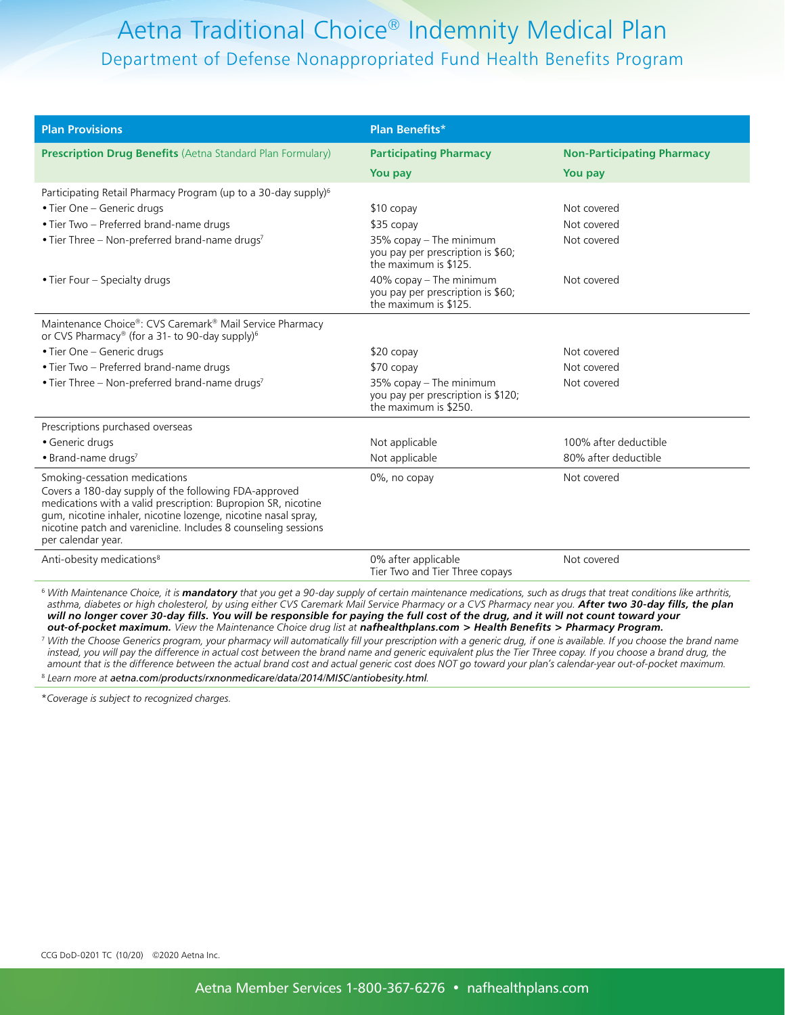| <b>Plan Provisions</b>                                                                                                                                                                                                                                                                                                              | <b>Plan Benefits*</b>                                                                    |                                   |
|-------------------------------------------------------------------------------------------------------------------------------------------------------------------------------------------------------------------------------------------------------------------------------------------------------------------------------------|------------------------------------------------------------------------------------------|-----------------------------------|
| <b>Prescription Drug Benefits</b> (Aetna Standard Plan Formulary)                                                                                                                                                                                                                                                                   | <b>Participating Pharmacy</b>                                                            | <b>Non-Participating Pharmacy</b> |
|                                                                                                                                                                                                                                                                                                                                     | You pay                                                                                  | You pay                           |
| Participating Retail Pharmacy Program (up to a 30-day supply) <sup>6</sup>                                                                                                                                                                                                                                                          |                                                                                          |                                   |
| • Tier One - Generic drugs                                                                                                                                                                                                                                                                                                          | $$10$ copay                                                                              | Not covered                       |
| • Tier Two - Preferred brand-name drugs                                                                                                                                                                                                                                                                                             | \$35 copay                                                                               | Not covered                       |
| • Tier Three – Non-preferred brand-name drugs <sup>7</sup>                                                                                                                                                                                                                                                                          | $35\%$ copay – The minimum<br>you pay per prescription is \$60;<br>the maximum is \$125. | Not covered                       |
| • Tier Four – Specialty drugs                                                                                                                                                                                                                                                                                                       | $40\%$ copay – The minimum<br>you pay per prescription is \$60;<br>the maximum is \$125. | Not covered                       |
| Maintenance Choice®: CVS Caremark® Mail Service Pharmacy<br>or CVS Pharmacy® (for a 31- to 90-day supply) <sup>6</sup>                                                                                                                                                                                                              |                                                                                          |                                   |
| • Tier One - Generic drugs                                                                                                                                                                                                                                                                                                          | $$20$ copay                                                                              | Not covered                       |
| • Tier Two - Preferred brand-name drugs                                                                                                                                                                                                                                                                                             | \$70 copay                                                                               | Not covered                       |
| • Tier Three - Non-preferred brand-name drugs <sup>7</sup>                                                                                                                                                                                                                                                                          | 35% copay - The minimum<br>you pay per prescription is \$120;<br>the maximum is \$250.   | Not covered                       |
| Prescriptions purchased overseas                                                                                                                                                                                                                                                                                                    |                                                                                          |                                   |
| • Generic drugs                                                                                                                                                                                                                                                                                                                     | Not applicable                                                                           | 100% after deductible             |
| • Brand-name drugs7                                                                                                                                                                                                                                                                                                                 | Not applicable                                                                           | 80% after deductible              |
| Smoking-cessation medications<br>Covers a 180-day supply of the following FDA-approved<br>medications with a valid prescription: Bupropion SR, nicotine<br>gum, nicotine inhaler, nicotine lozenge, nicotine nasal spray,<br>nicotine patch and varenicline. Includes 8 counseling sessions<br>per calendar year.                   | 0%, no copay                                                                             | Not covered                       |
| Anti-obesity medications <sup>8</sup>                                                                                                                                                                                                                                                                                               | 0% after applicable<br>Tier Two and Tier Three copays                                    | Not covered                       |
| <sup>6</sup> With Maintenance Choice, it is mandatory that you get a 90-day supply of certain maintenance medications, such as drugs that treat conditions like arthritis,<br>asthma, diabetes or high cholesterol, by using either CVS Caremark Mail Service Pharmacy or a CVS Pharmacy near you. After two 30-day fills, the plan |                                                                                          |                                   |

*will no longer cover 30-day fills. You will be responsible for paying the full cost of the drug, and it will not count toward your out-of-pocket maximum. View the Maintenance Choice drug list at [nafhealthplans.com > Health Benefits > Pharmacy Program.](https://www.nafhealthplans.com/Health Benefits/Pharmacy Programs)*

7  *With the Choose Generics program, your pharmacy will automatically fill your prescription with a generic drug, if one is available. If you choose the brand name*  instead, you will pay the difference in actual cost between the brand name and generic equivalent plus the Tier Three copay. If you choose a brand drug, the *amount that is the difference between the actual brand cost and actual generic cost does NOT go toward your plan's calendar-year out-of-pocket maximum.* 8  *Learn more at [aetna.com/products/rxnonmedicare/data/2014/MISC/antiobesity.html](http://www.aetna.com/products/rxnonmedicare/data/2014/MISC/antiobesity.html).*

\* *Coverage is subject to recognized charges.*